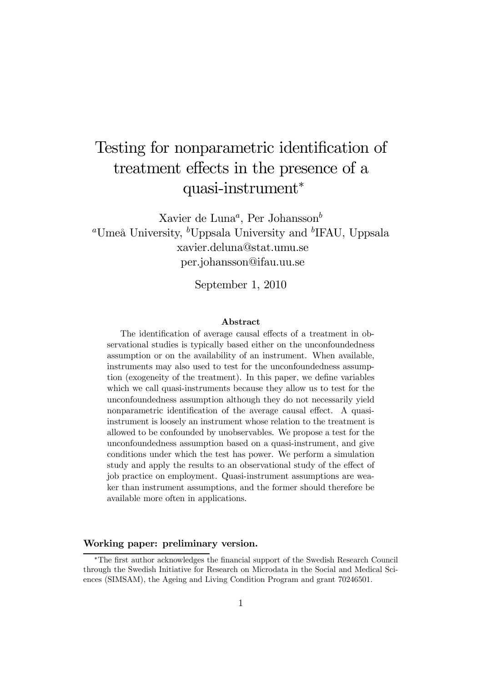# Testing for nonparametric identification of treatment effects in the presence of a quasi-instrument<sup>∗</sup>

Xavier de Luna<sup>a</sup>, Per Johansson<sup>b</sup> <sup>a</sup>Umeå University, <sup>b</sup>Uppsala University and <sup>b</sup>IFAU, Uppsala xavier.deluna@stat.umu.se per.johansson@ifau.uu.se

September 1, 2010

#### Abstract

The identification of average causal effects of a treatment in observational studies is typically based either on the unconfoundedness assumption or on the availability of an instrument. When available, instruments may also used to test for the unconfoundedness assumption (exogeneity of the treatment). In this paper, we define variables which we call quasi-instruments because they allow us to test for the unconfoundedness assumption although they do not necessarily yield nonparametric identification of the average causal effect. A quasiinstrument is loosely an instrument whose relation to the treatment is allowed to be confounded by unobservables. We propose a test for the unconfoundedness assumption based on a quasi-instrument, and give conditions under which the test has power. We perform a simulation study and apply the results to an observational study of the effect of job practice on employment. Quasi-instrument assumptions are weaker than instrument assumptions, and the former should therefore be available more often in applications.

#### Working paper: preliminary version.

<sup>∗</sup>The first author acknowledges the financial support of the Swedish Research Council through the Swedish Initiative for Research on Microdata in the Social and Medical Sciences (SIMSAM), the Ageing and Living Condition Program and grant 70246501.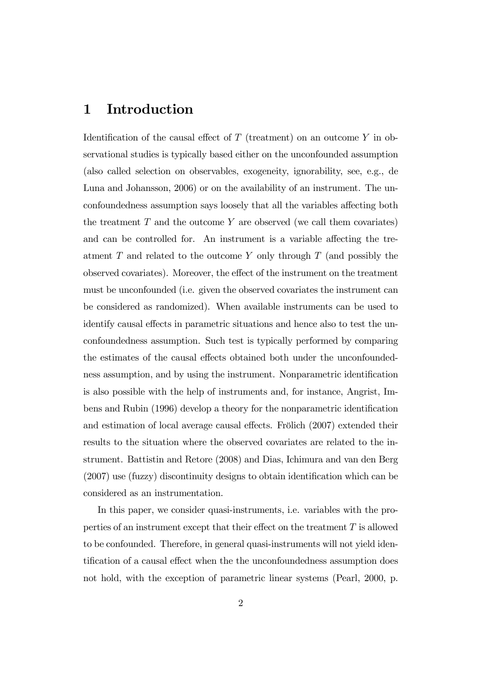### 1 Introduction

Identification of the causal effect of  $T$  (treatment) on an outcome  $Y$  in observational studies is typically based either on the unconfounded assumption (also called selection on observables, exogeneity, ignorability, see, e.g., de Luna and Johansson, 2006) or on the availability of an instrument. The unconfoundedness assumption says loosely that all the variables affecting both the treatment  $T$  and the outcome  $Y$  are observed (we call them covariates) and can be controlled for. An instrument is a variable affecting the treatment  $T$  and related to the outcome  $Y$  only through  $T$  (and possibly the observed covariates). Moreover, the effect of the instrument on the treatment must be unconfounded (i.e. given the observed covariates the instrument can be considered as randomized). When available instruments can be used to identify causal effects in parametric situations and hence also to test the unconfoundedness assumption. Such test is typically performed by comparing the estimates of the causal effects obtained both under the unconfoundedness assumption, and by using the instrument. Nonparametric identification is also possible with the help of instruments and, for instance, Angrist, Imbens and Rubin (1996) develop a theory for the nonparametric identification and estimation of local average causal effects. Frölich (2007) extended their results to the situation where the observed covariates are related to the instrument. Battistin and Retore (2008) and Dias, Ichimura and van den Berg (2007) use (fuzzy) discontinuity designs to obtain identification which can be considered as an instrumentation.

In this paper, we consider quasi-instruments, i.e. variables with the properties of an instrument except that their effect on the treatment  $T$  is allowed to be confounded. Therefore, in general quasi-instruments will not yield identification of a causal effect when the the unconfoundedness assumption does not hold, with the exception of parametric linear systems (Pearl, 2000, p.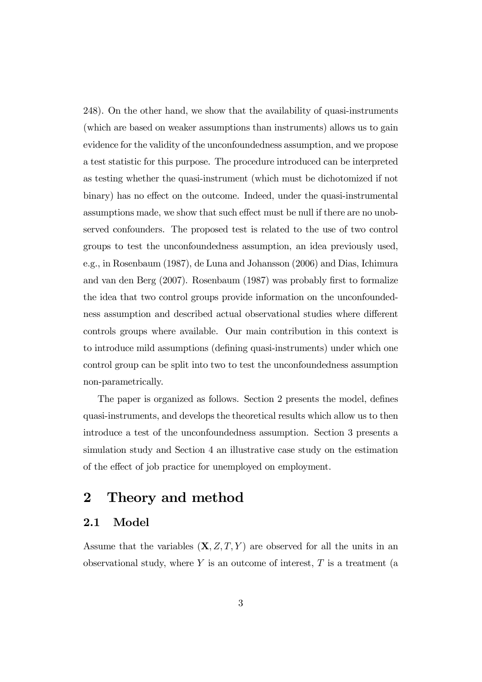248). On the other hand, we show that the availability of quasi-instruments (which are based on weaker assumptions than instruments) allows us to gain evidence for the validity of the unconfoundedness assumption, and we propose a test statistic for this purpose. The procedure introduced can be interpreted as testing whether the quasi-instrument (which must be dichotomized if not binary) has no effect on the outcome. Indeed, under the quasi-instrumental assumptions made, we show that such effect must be null if there are no unobserved confounders. The proposed test is related to the use of two control groups to test the unconfoundedness assumption, an idea previously used, e.g., in Rosenbaum (1987), de Luna and Johansson (2006) and Dias, Ichimura and van den Berg (2007). Rosenbaum (1987) was probably first to formalize the idea that two control groups provide information on the unconfoundedness assumption and described actual observational studies where different controls groups where available. Our main contribution in this context is to introduce mild assumptions (defining quasi-instruments) under which one control group can be split into two to test the unconfoundedness assumption non-parametrically.

The paper is organized as follows. Section 2 presents the model, defines quasi-instruments, and develops the theoretical results which allow us to then introduce a test of the unconfoundedness assumption. Section 3 presents a simulation study and Section 4 an illustrative case study on the estimation of the effect of job practice for unemployed on employment.

## 2 Theory and method

### 2.1 Model

Assume that the variables  $(X, Z, T, Y)$  are observed for all the units in an observational study, where  $Y$  is an outcome of interest,  $T$  is a treatment (a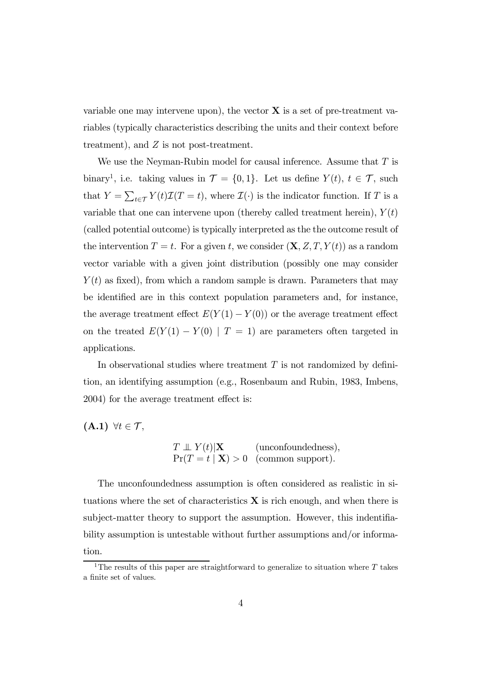variable one may intervene upon), the vector  $X$  is a set of pre-treatment variables (typically characteristics describing the units and their context before treatment), and Z is not post-treatment.

We use the Neyman-Rubin model for causal inference. Assume that  $T$  is binary<sup>1</sup>, i.e. taking values in  $\mathcal{T} = \{0, 1\}$ . Let us define  $Y(t)$ ,  $t \in \mathcal{T}$ , such that  $Y = \sum_{t \in \mathcal{T}} Y(t) \mathcal{I}(T = t)$ , where  $\mathcal{I}(\cdot)$  is the indicator function. If T is a variable that one can intervene upon (thereby called treatment herein),  $Y(t)$ (called potential outcome) is typically interpreted as the the outcome result of the intervention  $T = t$ . For a given t, we consider  $(\mathbf{X}, Z, T, Y(t))$  as a random vector variable with a given joint distribution (possibly one may consider  $Y(t)$  as fixed), from which a random sample is drawn. Parameters that may be identified are in this context population parameters and, for instance, the average treatment effect  $E(Y(1) - Y(0))$  or the average treatment effect on the treated  $E(Y(1) - Y(0) | T = 1)$  are parameters often targeted in applications.

In observational studies where treatment  $T$  is not randomized by definition, an identifying assumption (e.g., Rosenbaum and Rubin, 1983, Imbens, 2004) for the average treatment effect is:

 $(A.1)$   $\forall t \in \mathcal{T}$ ,

$$
T \perp V(t) | \mathbf{X}
$$
 (unconfoundedness),  
Pr(T = t | \mathbf{X}) > 0 (common support).

The unconfoundedness assumption is often considered as realistic in situations where the set of characteristics  $X$  is rich enough, and when there is subject-matter theory to support the assumption. However, this indentifiability assumption is untestable without further assumptions and/or information.

<sup>&</sup>lt;sup>1</sup>The results of this paper are straightforward to generalize to situation where  $T$  takes a finite set of values.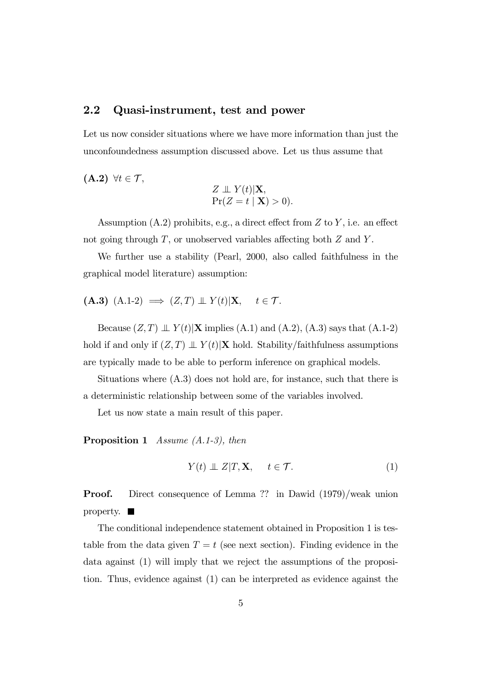#### 2.2 Quasi-instrument, test and power

Let us now consider situations where we have more information than just the unconfoundedness assumption discussed above. Let us thus assume that

$$
\textbf{(A.2)} \ \forall t \in \mathcal{T},
$$
\n
$$
Z \perp \!\!\!\perp Y(t)|\textbf{X},
$$

$$
\Pr(Z = t | \mathbf{X}) > 0).
$$

Assumption  $(A.2)$  prohibits, e.g., a direct effect from Z to Y, i.e. an effect not going through  $T$ , or unobserved variables affecting both  $Z$  and  $Y$ .

We further use a stability (Pearl, 2000, also called faithfulness in the graphical model literature) assumption:

$$
(A.3) (A.1-2) \implies (Z,T) \perp \!\!\!\perp Y(t)|X, \quad t \in \mathcal{T}.
$$

Because  $(Z, T) \perp Y(t)$  X implies (A.1) and (A.2), (A.3) says that (A.1-2) hold if and only if  $(Z, T) \perp Y(t)$ |X hold. Stability/faithfulness assumptions are typically made to be able to perform inference on graphical models.

Situations where (A.3) does not hold are, for instance, such that there is a deterministic relationship between some of the variables involved.

Let us now state a main result of this paper.

Proposition 1 Assume (A.1-3), then

$$
Y(t) \perp\!\!\!\perp Z|T, \mathbf{X}, \quad t \in \mathcal{T}.
$$
 (1)

Proof. Direct consequence of Lemma ?? in Dawid (1979)/weak union property.  $\blacksquare$ 

The conditional independence statement obtained in Proposition 1 is testable from the data given  $T = t$  (see next section). Finding evidence in the data against (1) will imply that we reject the assumptions of the proposition. Thus, evidence against (1) can be interpreted as evidence against the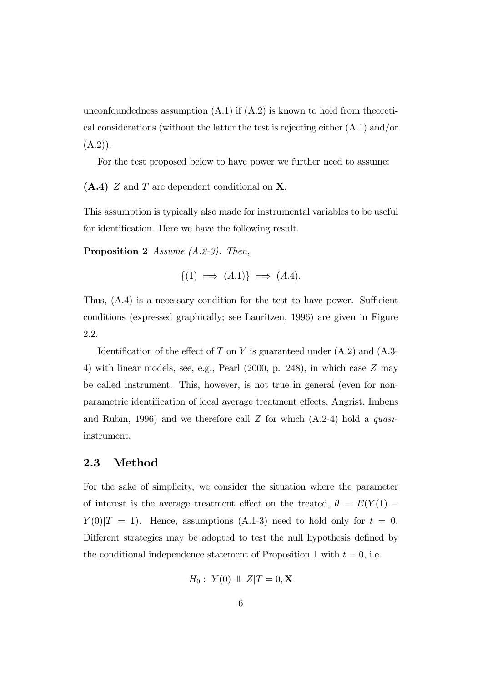unconfoundedness assumption  $(A.1)$  if  $(A.2)$  is known to hold from theoretical considerations (without the latter the test is rejecting either (A.1) and/or  $(A.2)$ .

For the test proposed below to have power we further need to assume:

 $(A.4)$  Z and T are dependent conditional on X.

This assumption is typically also made for instrumental variables to be useful for identification. Here we have the following result.

Proposition 2 Assume (A.2-3). Then,

$$
\{(1) \implies (A.1)\} \implies (A.4).
$$

Thus, (A.4) is a necessary condition for the test to have power. Sufficient conditions (expressed graphically; see Lauritzen, 1996) are given in Figure 2.2.

Identification of the effect of T on Y is guaranteed under  $(A.2)$  and  $(A.3-$ 4) with linear models, see, e.g., Pearl (2000, p. 248), in which case Z may be called instrument. This, however, is not true in general (even for nonparametric identification of local average treatment effects, Angrist, Imbens and Rubin, 1996) and we therefore call  $Z$  for which  $(A.2-4)$  hold a *quasi*instrument.

#### 2.3 Method

For the sake of simplicity, we consider the situation where the parameter of interest is the average treatment effect on the treated,  $\theta = E(Y(1) Y(0)|T = 1$ . Hence, assumptions (A.1-3) need to hold only for  $t = 0$ . Different strategies may be adopted to test the null hypothesis defined by the conditional independence statement of Proposition 1 with  $t = 0$ , i.e.

$$
H_0: Y(0) \perp \!\!\! \perp Z | T = 0, \mathbf{X}
$$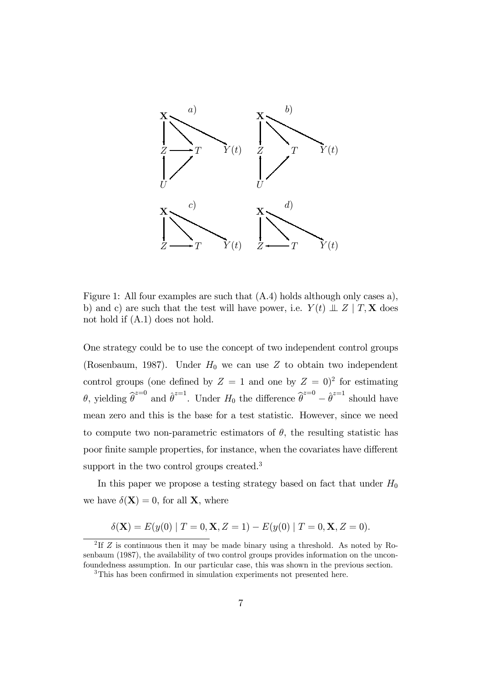

Figure 1: All four examples are such that (A.4) holds although only cases a), b) and c) are such that the test will have power, i.e.  $Y(t) \perp Z \mid T, X$  does not hold if (A.1) does not hold.

One strategy could be to use the concept of two independent control groups (Rosenbaum, 1987). Under  $H_0$  we can use Z to obtain two independent control groups (one defined by  $Z = 1$  and one by  $Z = 0$ )<sup>2</sup> for estimating  $\theta$ , yielding  $\hat{\theta}^{z=0}$  and  $\hat{\theta}^{z=1}$ . Under  $H_0$  the difference  $\hat{\theta}^{z=0} - \hat{\theta}^{z=1}$  should have mean zero and this is the base for a test statistic. However, since we need to compute two non-parametric estimators of  $\theta$ , the resulting statistic has poor finite sample properties, for instance, when the covariates have different support in the two control groups created.<sup>3</sup>

In this paper we propose a testing strategy based on fact that under  $H_0$ we have  $\delta(\mathbf{X}) = 0$ , for all **X**, where

$$
\delta(\mathbf{X}) = E(y(0) | T = 0, \mathbf{X}, Z = 1) - E(y(0) | T = 0, \mathbf{X}, Z = 0).
$$

<sup>&</sup>lt;sup>2</sup>If  $Z$  is continuous then it may be made binary using a threshold. As noted by Rosenbaum (1987), the availability of two control groups provides information on the unconfoundedness assumption. In our particular case, this was shown in the previous section.

<sup>3</sup>This has been confirmed in simulation experiments not presented here.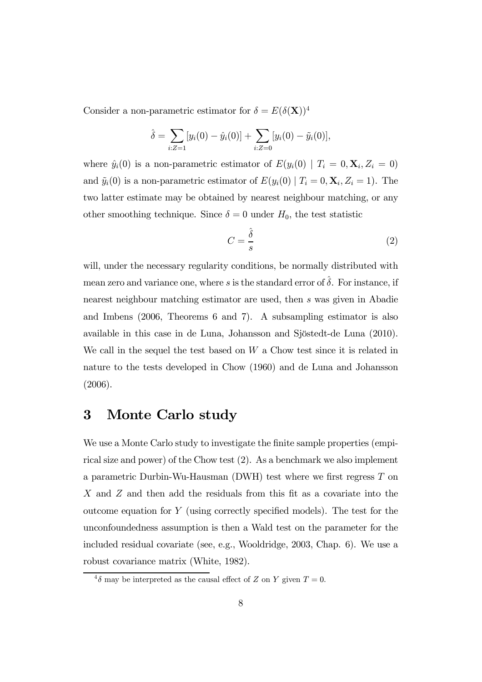Consider a non-parametric estimator for  $\delta = E(\delta(\mathbf{X}))^4$ 

$$
\hat{\delta} = \sum_{i:Z=1} [y_i(0) - \hat{y}_i(0)] + \sum_{i:Z=0} [y_i(0) - \tilde{y}_i(0)],
$$

where  $\hat{y}_i(0)$  is a non-parametric estimator of  $E(y_i(0) | T_i = 0, \mathbf{X}_i, Z_i = 0)$ and  $\tilde{y}_i(0)$  is a non-parametric estimator of  $E(y_i(0) | T_i = 0, \mathbf{X}_i, Z_i = 1)$ . The two latter estimate may be obtained by nearest neighbour matching, or any other smoothing technique. Since  $\delta = 0$  under  $H_0$ , the test statistic

$$
C = \frac{\hat{\delta}}{s} \tag{2}
$$

will, under the necessary regularity conditions, be normally distributed with mean zero and variance one, where s is the standard error of  $\hat{\delta}$ . For instance, if nearest neighbour matching estimator are used, then s was given in Abadie and Imbens (2006, Theorems 6 and 7). A subsampling estimator is also available in this case in de Luna, Johansson and Sjöstedt-de Luna (2010). We call in the sequel the test based on  $W$  a Chow test since it is related in nature to the tests developed in Chow (1960) and de Luna and Johansson (2006).

### 3 Monte Carlo study

We use a Monte Carlo study to investigate the finite sample properties (empirical size and power) of the Chow test (2). As a benchmark we also implement a parametric Durbin-Wu-Hausman (DWH) test where we first regress T on X and Z and then add the residuals from this fit as a covariate into the outcome equation for  $Y$  (using correctly specified models). The test for the unconfoundedness assumption is then a Wald test on the parameter for the included residual covariate (see, e.g., Wooldridge, 2003, Chap. 6). We use a robust covariance matrix (White, 1982).

 ${}^{4}\delta$  may be interpreted as the causal effect of Z on Y given  $T=0$ .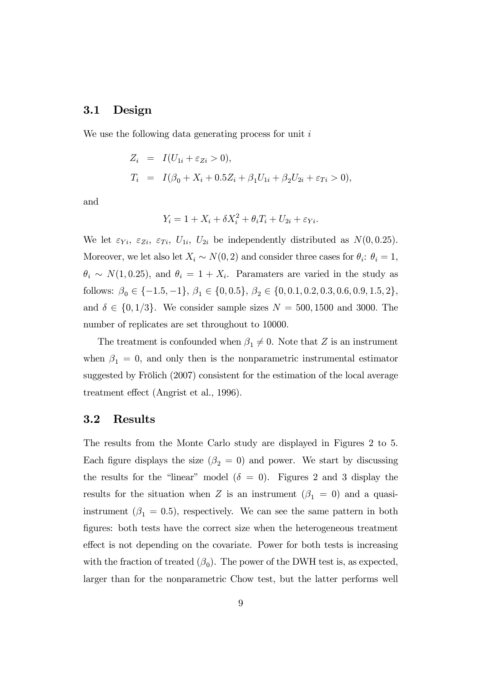#### 3.1 Design

We use the following data generating process for unit  $i$ 

$$
Z_i = I(U_{1i} + \varepsilon_{Zi} > 0),
$$
  
\n
$$
T_i = I(\beta_0 + X_i + 0.5Z_i + \beta_1 U_{1i} + \beta_2 U_{2i} + \varepsilon_{Ti} > 0),
$$

and

$$
Y_i = 1 + X_i + \delta X_i^2 + \theta_i T_i + U_{2i} + \varepsilon_{Yi}.
$$

We let  $\varepsilon_{Y_i}, \varepsilon_{Z_i}, \varepsilon_{T_i}, U_{1i}, U_{2i}$  be independently distributed as  $N(0, 0.25)$ . Moreover, we let also let  $X_i \sim N(0, 2)$  and consider three cases for  $\theta_i$ :  $\theta_i = 1$ ,  $\theta_i \sim N(1, 0.25)$ , and  $\theta_i = 1 + X_i$ . Paramaters are varied in the study as follows:  $\beta_0 \in \{-1.5, -1\}$ ,  $\beta_1 \in \{0, 0.5\}$ ,  $\beta_2 \in \{0, 0.1, 0.2, 0.3, 0.6, 0.9, 1.5, 2\}$ , and  $\delta \in \{0, 1/3\}$ . We consider sample sizes  $N = 500, 1500$  and 3000. The number of replicates are set throughout to 10000.

The treatment is confounded when  $\beta_1 \neq 0$ . Note that Z is an instrument when  $\beta_1 = 0$ , and only then is the nonparametric instrumental estimator suggested by Frölich (2007) consistent for the estimation of the local average treatment effect (Angrist et al., 1996).

#### 3.2 Results

The results from the Monte Carlo study are displayed in Figures 2 to 5. Each figure displays the size ( $\beta_2 = 0$ ) and power. We start by discussing the results for the "linear" model  $(\delta = 0)$ . Figures 2 and 3 display the results for the situation when Z is an instrument  $(\beta_1 = 0)$  and a quasiinstrument ( $\beta_1 = 0.5$ ), respectively. We can see the same pattern in both figures: both tests have the correct size when the heterogeneous treatment effect is not depending on the covariate. Power for both tests is increasing with the fraction of treated  $(\beta_0)$ . The power of the DWH test is, as expected, larger than for the nonparametric Chow test, but the latter performs well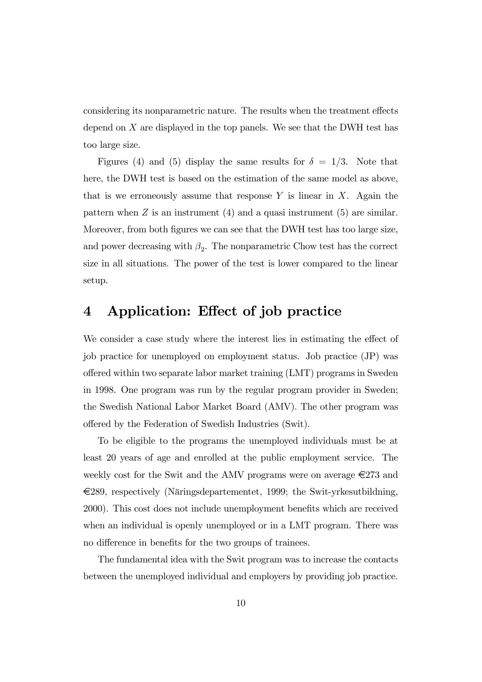considering its nonparametric nature. The results when the treatment effects depend on  $X$  are displayed in the top panels. We see that the DWH test has too large size.

Figures (4) and (5) display the same results for  $\delta = 1/3$ . Note that here, the DWH test is based on the estimation of the same model as above, that is we erroneously assume that response  $Y$  is linear in  $X$ . Again the pattern when  $Z$  is an instrument  $(4)$  and a quasi instrument  $(5)$  are similar. Moreover, from both figures we can see that the DWH test has too large size, and power decreasing with  $\beta_2$ . The nonparametric Chow test has the correct size in all situations. The power of the test is lower compared to the linear setup.

## 4 Application: Effect of job practice

We consider a case study where the interest lies in estimating the effect of job practice for unemployed on employment status. Job practice (JP) was offered within two separate labor market training (LMT) programs in Sweden in 1998. One program was run by the regular program provider in Sweden; the Swedish National Labor Market Board (AMV). The other program was offered by the Federation of Swedish Industries (Swit).

To be eligible to the programs the unemployed individuals must be at least 20 years of age and enrolled at the public employment service. The weekly cost for the Swit and the AMV programs were on average  $\epsilon$ 273 and €289, respectively (Näringsdepartementet, 1999; the Swit-yrkesutbildning, 2000). This cost does not include unemployment benefits which are received when an individual is openly unemployed or in a LMT program. There was no difference in benefits for the two groups of trainees.

The fundamental idea with the Swit program was to increase the contacts between the unemployed individual and employers by providing job practice.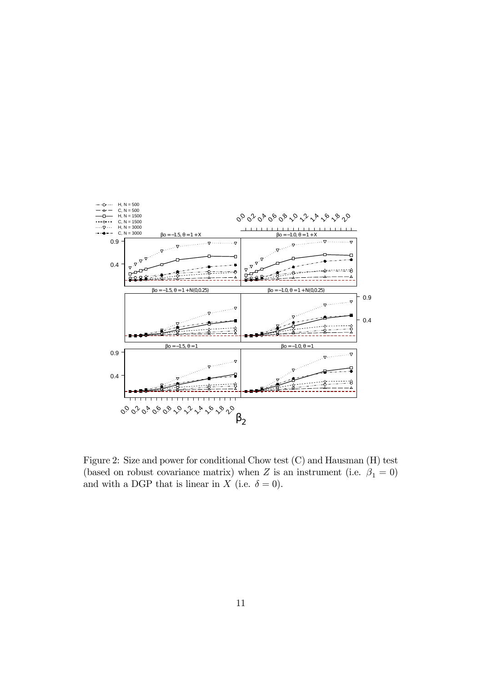

Figure 2: Size and power for conditional Chow test (C) and Hausman (H) test (based on robust covariance matrix) when Z is an instrument (i.e.  $\beta_1 = 0$ ) and with a DGP that is linear in X (i.e.  $\delta = 0$ ).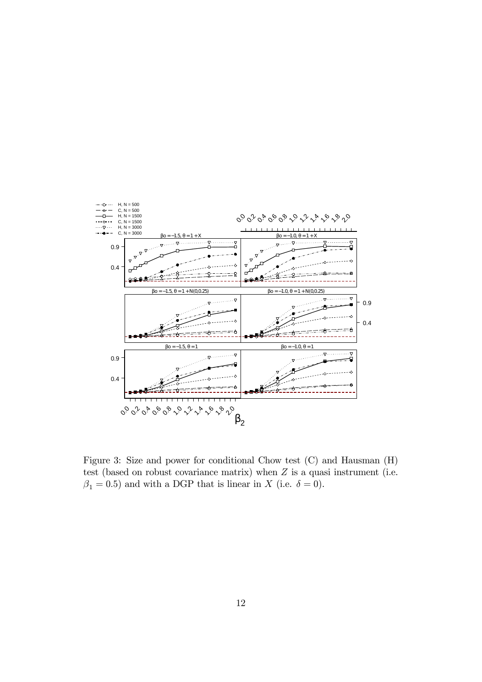

Figure 3: Size and power for conditional Chow test (C) and Hausman (H) test (based on robust covariance matrix) when  $Z$  is a quasi instrument (i.e.  $\beta_1 = 0.5$ ) and with a DGP that is linear in X (i.e.  $\delta = 0$ ).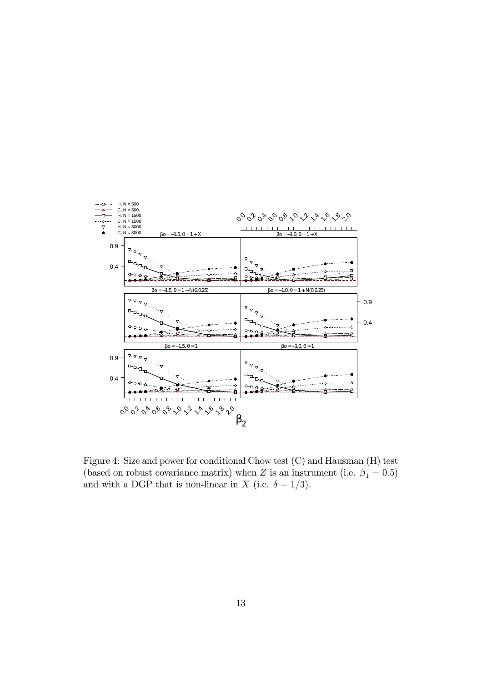

Figure 4: Size and power for conditional Chow test (C) and Hausman (H) test (based on robust covariance matrix) when Z is an instrument (i.e.  $\beta_1 = 0.5$ ) and with a DGP that is non-linear in X (i.e.  $\delta = 1/3$ ).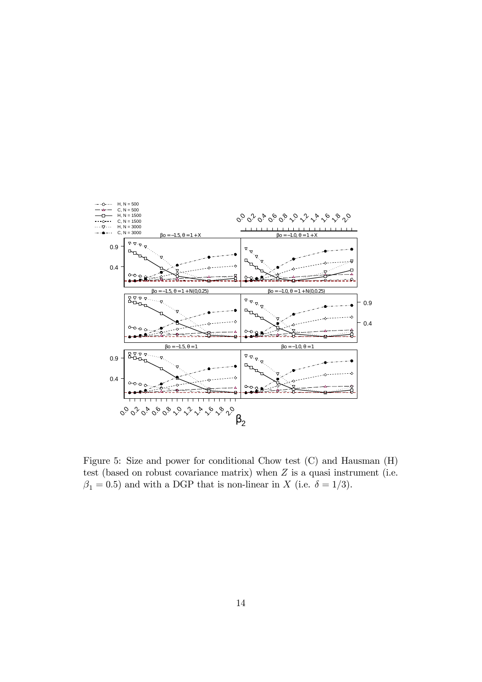

Figure 5: Size and power for conditional Chow test (C) and Hausman (H) test (based on robust covariance matrix) when  $Z$  is a quasi instrument (i.e.  $\beta_1 = 0.5$ ) and with a DGP that is non-linear in X (i.e.  $\delta = 1/3$ ).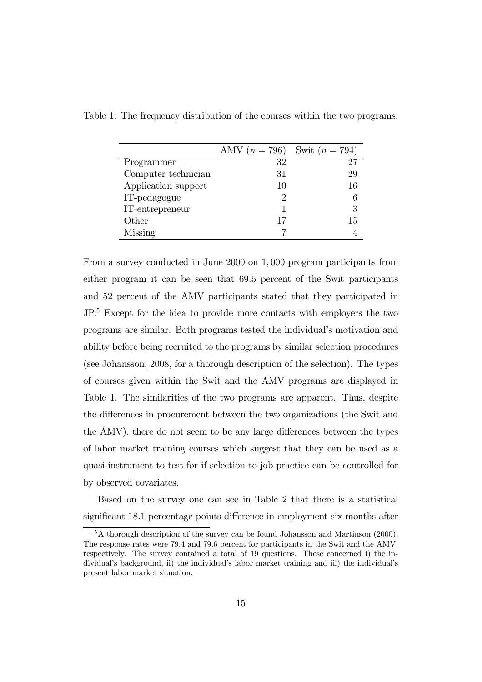|                     | AMV $(n = 796)$ | Swit $(n = 794)$ |
|---------------------|-----------------|------------------|
| Programmer          | 32              |                  |
| Computer technician | 31              | 29               |
| Application support | 10              | 16               |
| IT-pedagogue        |                 |                  |
| IT-entrepreneur     |                 | 3                |
| Other               | 17              | 15               |
| Missing             |                 |                  |

Table 1: The frequency distribution of the courses within the two programs.

From a survey conducted in June 2000 on 1, 000 program participants from either program it can be seen that 69.5 percent of the Swit participants and 52 percent of the AMV participants stated that they participated in JP.<sup>5</sup> Except for the idea to provide more contacts with employers the two programs are similar. Both programs tested the individual's motivation and ability before being recruited to the programs by similar selection procedures (see Johansson, 2008, for a thorough description of the selection). The types of courses given within the Swit and the AMV programs are displayed in Table 1. The similarities of the two programs are apparent. Thus, despite the differences in procurement between the two organizations (the Swit and the AMV), there do not seem to be any large differences between the types of labor market training courses which suggest that they can be used as a quasi-instrument to test for if selection to job practice can be controlled for by observed covariates.

Based on the survey one can see in Table 2 that there is a statistical significant 18.1 percentage points difference in employment six months after

 ${}^{5}$ A thorough description of the survey can be found Johansson and Martinson (2000). The response rates were 79.4 and 79.6 percent for participants in the Swit and the AMV, respectively. The survey contained a total of 19 questions. These concerned i) the individual's background, ii) the individual's labor market training and iii) the individual's present labor market situation.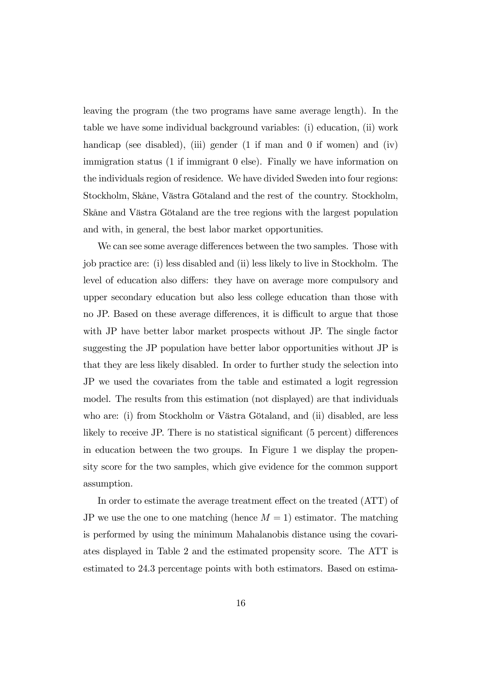leaving the program (the two programs have same average length). In the table we have some individual background variables: (i) education, (ii) work handicap (see disabled), (iii) gender (1 if man and 0 if women) and (iv) immigration status (1 if immigrant 0 else). Finally we have information on the individuals region of residence. We have divided Sweden into four regions: Stockholm, Skåne, Västra Götaland and the rest of the country. Stockholm, Skåne and Västra Götaland are the tree regions with the largest population and with, in general, the best labor market opportunities.

We can see some average differences between the two samples. Those with job practice are: (i) less disabled and (ii) less likely to live in Stockholm. The level of education also differs: they have on average more compulsory and upper secondary education but also less college education than those with no JP. Based on these average differences, it is difficult to argue that those with JP have better labor market prospects without JP. The single factor suggesting the JP population have better labor opportunities without JP is that they are less likely disabled. In order to further study the selection into JP we used the covariates from the table and estimated a logit regression model. The results from this estimation (not displayed) are that individuals who are: (i) from Stockholm or Västra Götaland, and (ii) disabled, are less likely to receive JP. There is no statistical significant (5 percent) differences in education between the two groups. In Figure 1 we display the propensity score for the two samples, which give evidence for the common support assumption.

In order to estimate the average treatment effect on the treated (ATT) of JP we use the one to one matching (hence  $M = 1$ ) estimator. The matching is performed by using the minimum Mahalanobis distance using the covariates displayed in Table 2 and the estimated propensity score. The ATT is estimated to 24.3 percentage points with both estimators. Based on estima-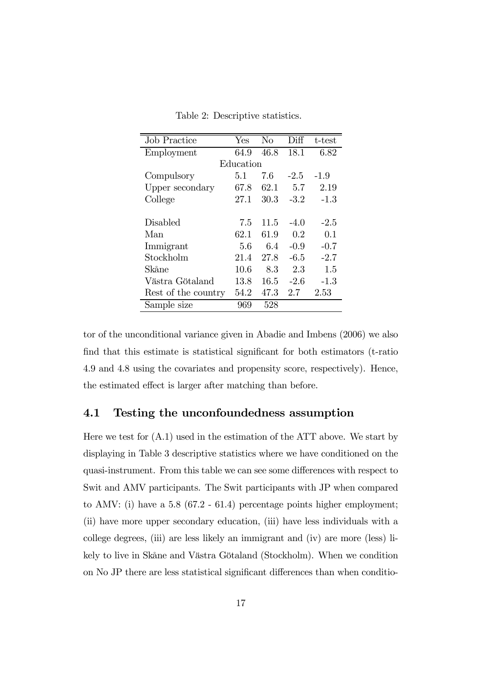| <b>Job Practice</b> | Yes  | No   | Diff   | t-test |  |  |  |  |
|---------------------|------|------|--------|--------|--|--|--|--|
| Employment          | 64.9 | 46.8 | 18.1   | 6.82   |  |  |  |  |
| Education           |      |      |        |        |  |  |  |  |
| Compulsory          | 5.1  | 7.6  | $-2.5$ | $-1.9$ |  |  |  |  |
| Upper secondary     | 67.8 | 62.1 | 5.7    | 2.19   |  |  |  |  |
| College             | 27.1 | 30.3 | $-3.2$ | $-1.3$ |  |  |  |  |
|                     |      |      |        |        |  |  |  |  |
| Disabled            | 7.5  | 11.5 | $-4.0$ | $-2.5$ |  |  |  |  |
| Man                 | 62.1 | 61.9 | 0.2    | 0.1    |  |  |  |  |
| Immigrant           | 5.6  | 64   | $-0.9$ | $-0.7$ |  |  |  |  |
| Stockholm           | 21.4 | 27.8 | $-6.5$ | $-2.7$ |  |  |  |  |
| Skåne               | 10.6 | 8.3  | 2.3    | 1.5    |  |  |  |  |
| Västra Götaland     | 13.8 | 16.5 | $-2.6$ | $-1.3$ |  |  |  |  |
| Rest of the country | 54.2 | 47.3 | 2.7    | 2.53   |  |  |  |  |
| Sample size         | 969  | 528  |        |        |  |  |  |  |

Table 2: Descriptive statistics.

tor of the unconditional variance given in Abadie and Imbens (2006) we also find that this estimate is statistical significant for both estimators (t-ratio 4.9 and 4.8 using the covariates and propensity score, respectively). Hence, the estimated effect is larger after matching than before.

### 4.1 Testing the unconfoundedness assumption

Here we test for  $(A.1)$  used in the estimation of the ATT above. We start by displaying in Table 3 descriptive statistics where we have conditioned on the quasi-instrument. From this table we can see some differences with respect to Swit and AMV participants. The Swit participants with JP when compared to AMV: (i) have a 5.8 ( $67.2 - 61.4$ ) percentage points higher employment; (ii) have more upper secondary education, (iii) have less individuals with a college degrees, (iii) are less likely an immigrant and (iv) are more (less) likely to live in Skåne and Västra Götaland (Stockholm). When we condition on No JP there are less statistical significant differences than when conditio-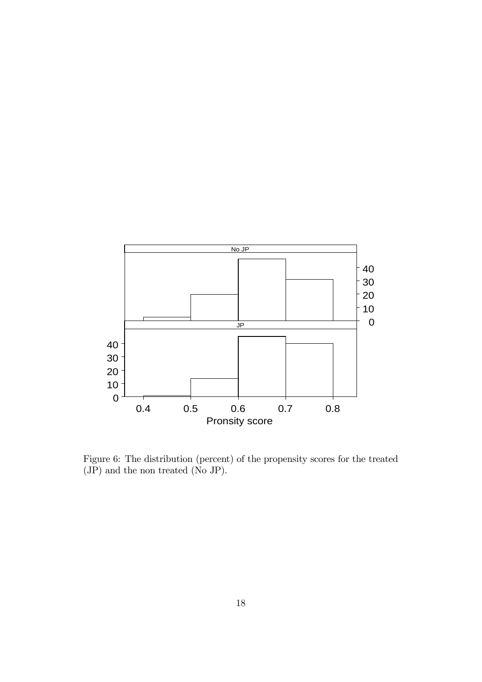

Figure 6: The distribution (percent) of the propensity scores for the treated (JP) and the non treated (No JP).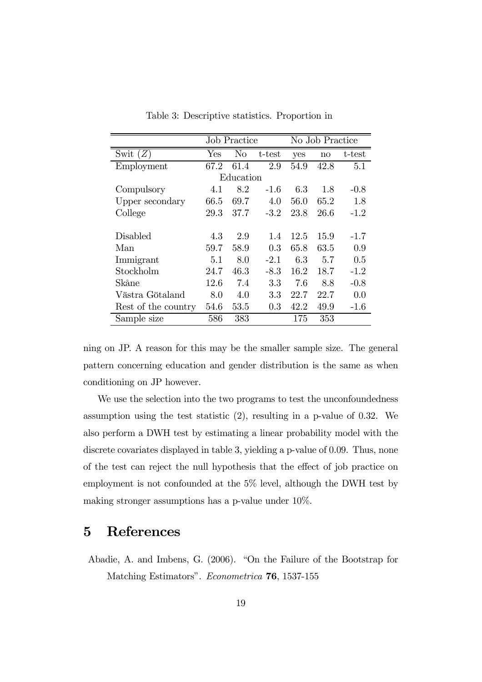|                     | <b>Job Practice</b> |                |         | No Job Practice |      |        |  |  |  |
|---------------------|---------------------|----------------|---------|-----------------|------|--------|--|--|--|
| Swit $(Z)$          | ${\rm Yes}$         | N <sub>o</sub> | t-test  | yes             | no   | t-test |  |  |  |
| Employment          | 67.2                | 61.4           | 2.9     | 54.9            | 42.8 | 5.1    |  |  |  |
| Education           |                     |                |         |                 |      |        |  |  |  |
| Compulsory          | 4.1                 | 8.2            | $-1.6$  | 6.3             | 1.8  | $-0.8$ |  |  |  |
| Upper secondary     | 66.5                | 69.7           | 4.0     | 56.0            | 65.2 | 1.8    |  |  |  |
| College             | 29.3                | 37.7           | $-3.2$  | 23.8            | 26.6 | $-1.2$ |  |  |  |
|                     |                     |                |         |                 |      |        |  |  |  |
| <b>Disabled</b>     | 4.3                 | 2.9            | 1.4     | 12.5            | 15.9 | $-1.7$ |  |  |  |
| Man                 | 59.7                | 58.9           | 0.3     | 65.8            | 63.5 | 0.9    |  |  |  |
| Immigrant           | 5.1                 | 8.0            | $-2.1$  | 6.3             | 5.7  | 0.5    |  |  |  |
| Stockholm           | 24.7                | 46.3           | $-8.3$  | 16.2            | 18.7 | $-1.2$ |  |  |  |
| Skåne               | 12.6                | 7.4            | 3.3     | 7.6             | 8.8  | $-0.8$ |  |  |  |
| Västra Götaland     | 8.0                 | 4.0            | $3.3\,$ | 22.7            | 22.7 | 0.0    |  |  |  |
| Rest of the country | 54.6                | $53.5\,$       | 0.3     | 42.2            | 49.9 | $-1.6$ |  |  |  |
| Sample size         | 586                 | 383            |         | 175             | 353  |        |  |  |  |

Table 3: Descriptive statistics. Proportion in

ning on JP. A reason for this may be the smaller sample size. The general pattern concerning education and gender distribution is the same as when conditioning on JP however.

We use the selection into the two programs to test the unconfoundedness assumption using the test statistic (2), resulting in a p-value of 0.32. We also perform a DWH test by estimating a linear probability model with the discrete covariates displayed in table 3, yielding a p-value of 0.09. Thus, none of the test can reject the null hypothesis that the effect of job practice on employment is not confounded at the 5% level, although the DWH test by making stronger assumptions has a p-value under 10%.

# 5 References

Abadie, A. and Imbens, G. (2006). "On the Failure of the Bootstrap for Matching Estimators". Econometrica 76, 1537-155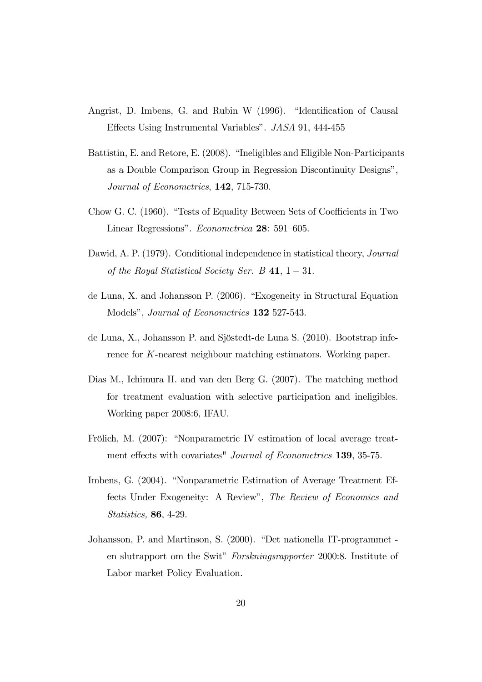- Angrist, D. Imbens, G. and Rubin W (1996). "Identification of Causal Effects Using Instrumental Variables". JASA 91, 444-455
- Battistin, E. and Retore, E. (2008). "Ineligibles and Eligible Non-Participants as a Double Comparison Group in Regression Discontinuity Designs", Journal of Econometrics, 142, 715-730.
- Chow G. C. (1960). "Tests of Equality Between Sets of Coefficients in Two Linear Regressions". Econometrica 28: 591—605.
- Dawid, A. P. (1979). Conditional independence in statistical theory, *Journal* of the Royal Statistical Society Ser. B 41,  $1 - 31$ .
- de Luna, X. and Johansson P. (2006). "Exogeneity in Structural Equation Models", Journal of Econometrics 132 527-543.
- de Luna, X., Johansson P. and Sjöstedt-de Luna S. (2010). Bootstrap inference for K-nearest neighbour matching estimators. Working paper.
- Dias M., Ichimura H. and van den Berg G. (2007). The matching method for treatment evaluation with selective participation and ineligibles. Working paper 2008:6, IFAU.
- Frölich, M. (2007): "Nonparametric IV estimation of local average treatment effects with covariates" Journal of Econometrics 139, 35-75.
- Imbens, G. (2004). "Nonparametric Estimation of Average Treatment Effects Under Exogeneity: A Review", The Review of Economics and Statistics, 86, 4-29.
- Johansson, P. and Martinson, S. (2000). "Det nationella IT-programmet en slutrapport om the Swit" Forskningsrapporter 2000:8. Institute of Labor market Policy Evaluation.